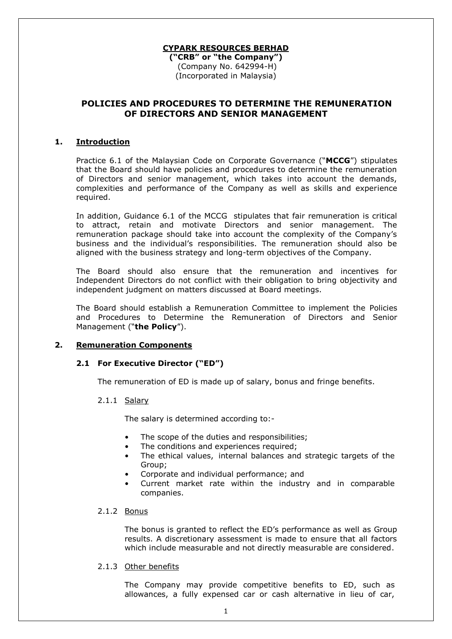## **CYPARK RESOURCES BERHAD**

**("CRB" or "the Company")** (Company No. 642994-H) (Incorporated in Malaysia)

## **POLICIES AND PROCEDURES TO DETERMINE THE REMUNERATION OF DIRECTORS AND SENIOR MANAGEMENT**

## **1. Introduction**

Practice 6.1 of the Malaysian Code on Corporate Governance ("**MCCG**") stipulates that the Board should have policies and procedures to determine the remuneration of Directors and senior management, which takes into account the demands, complexities and performance of the Company as well as skills and experience required.

In addition, Guidance 6.1 of the MCCG stipulates that fair remuneration is critical to attract, retain and motivate Directors and senior management. The remuneration package should take into account the complexity of the Company's business and the individual's responsibilities. The remuneration should also be aligned with the business strategy and long-term objectives of the Company.

The Board should also ensure that the remuneration and incentives for Independent Directors do not conflict with their obligation to bring objectivity and independent judgment on matters discussed at Board meetings.

The Board should establish a Remuneration Committee to implement the Policies and Procedures to Determine the Remuneration of Directors and Senior Management ("**the Policy**").

## **2. Remuneration Components**

# **2.1 For Executive Director ("ED")**

The remuneration of ED is made up of salary, bonus and fringe benefits.

#### 2.1.1 Salary

The salary is determined according to:-

- The scope of the duties and responsibilities;
- The conditions and experiences required;
- The ethical values, internal balances and strategic targets of the Group;
- Corporate and individual performance; and
- Current market rate within the industry and in comparable companies.

#### 2.1.2 Bonus

The bonus is granted to reflect the ED's performance as well as Group results. A discretionary assessment is made to ensure that all factors which include measurable and not directly measurable are considered.

#### 2.1.3 Other benefits

The Company may provide competitive benefits to ED, such as allowances, a fully expensed car or cash alternative in lieu of car,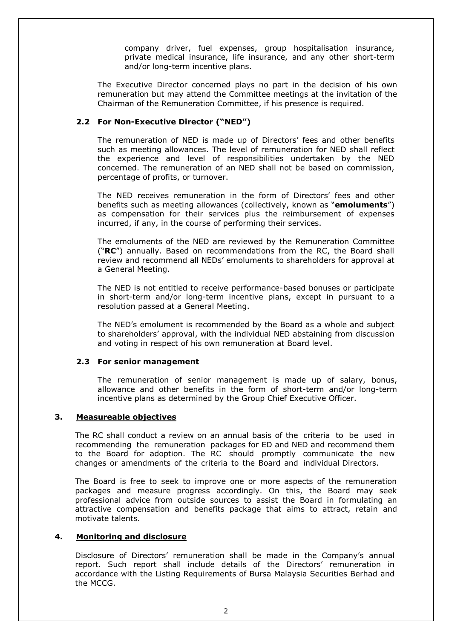company driver, fuel expenses, group hospitalisation insurance, private medical insurance, life insurance, and any other short-term and/or long-term incentive plans.

The Executive Director concerned plays no part in the decision of his own remuneration but may attend the Committee meetings at the invitation of the Chairman of the Remuneration Committee, if his presence is required.

# **2.2 For Non-Executive Director ("NED")**

The remuneration of NED is made up of Directors' fees and other benefits such as meeting allowances. The level of remuneration for NED shall reflect the experience and level of responsibilities undertaken by the NED concerned. The remuneration of an NED shall not be based on commission, percentage of profits, or turnover.

The NED receives remuneration in the form of Directors' fees and other benefits such as meeting allowances (collectively, known as "**emoluments**") as compensation for their services plus the reimbursement of expenses incurred, if any, in the course of performing their services.

The emoluments of the NED are reviewed by the Remuneration Committee ("**RC**") annually. Based on recommendations from the RC, the Board shall review and recommend all NEDs' emoluments to shareholders for approval at a General Meeting.

The NED is not entitled to receive performance-based bonuses or participate in short-term and/or long-term incentive plans, except in pursuant to a resolution passed at a General Meeting.

The NED's emolument is recommended by the Board as a whole and subject to shareholders' approval, with the individual NED abstaining from discussion and voting in respect of his own remuneration at Board level.

#### **2.3 For senior management**

The remuneration of senior management is made up of salary, bonus, allowance and other benefits in the form of short-term and/or long-term incentive plans as determined by the Group Chief Executive Officer.

# **3. Measureable objectives**

The RC shall conduct a review on an annual basis of the criteria to be used in recommending the remuneration packages for ED and NED and recommend them to the Board for adoption. The RC should promptly communicate the new changes or amendments of the criteria to the Board and individual Directors.

The Board is free to seek to improve one or more aspects of the remuneration packages and measure progress accordingly. On this, the Board may seek professional advice from outside sources to assist the Board in formulating an attractive compensation and benefits package that aims to attract, retain and motivate talents.

# **4. Monitoring and disclosure**

Disclosure of Directors' remuneration shall be made in the Company's annual report. Such report shall include details of the Directors' remuneration in accordance with the Listing Requirements of Bursa Malaysia Securities Berhad and the MCCG.